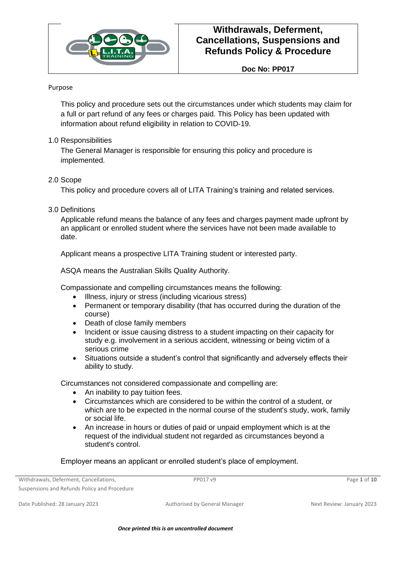

**Doc No: PP017**

#### Purpose

This policy and procedure sets out the circumstances under which students may claim for a full or part refund of any fees or charges paid. This Policy has been updated with information about refund eligibility in relation to COVID-19.

#### 1.0 Responsibilities

The General Manager is responsible for ensuring this policy and procedure is implemented.

#### 2.0 Scope

This policy and procedure covers all of LITA Training's training and related services.

### 3.0 Definitions

Applicable refund means the balance of any fees and charges payment made upfront by an applicant or enrolled student where the services have not been made available to date.

Applicant means a prospective LITA Training student or interested party.

ASQA means the Australian Skills Quality Authority.

Compassionate and compelling circumstances means the following:

- Illness, injury or stress (including vicarious stress)
- Permanent or temporary disability (that has occurred during the duration of the course)
- Death of close family members
- Incident or issue causing distress to a student impacting on their capacity for study e.g. involvement in a serious accident, witnessing or being victim of a serious crime
- Situations outside a student's control that significantly and adversely effects their ability to study.

Circumstances not considered compassionate and compelling are:

- An inability to pay tuition fees.
- Circumstances which are considered to be within the control of a student, or which are to be expected in the normal course of the student's study, work, family or social life.
- An increase in hours or duties of paid or unpaid employment which is at the request of the individual student not regarded as circumstances beyond a student's control.

Employer means an applicant or enrolled student's place of employment.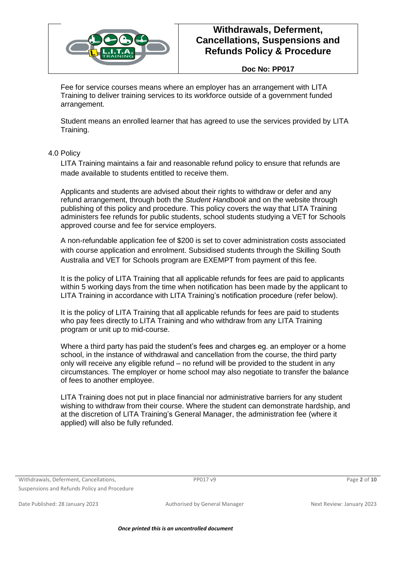

#### **Doc No: PP017**

Fee for service courses means where an employer has an arrangement with LITA Training to deliver training services to its workforce outside of a government funded arrangement.

Student means an enrolled learner that has agreed to use the services provided by LITA Training.

4.0 Policy

LITA Training maintains a fair and reasonable refund policy to ensure that refunds are made available to students entitled to receive them.

Applicants and students are advised about their rights to withdraw or defer and any refund arrangement, through both the *Student Handbook* and on the website through publishing of this policy and procedure. This policy covers the way that LITA Training administers fee refunds for public students, school students studying a VET for Schools approved course and fee for service employers.

A non-refundable application fee of \$200 is set to cover administration costs associated with course application and enrolment. Subsidised students through the Skilling South Australia and VET for Schools program are EXEMPT from payment of this fee.

It is the policy of LITA Training that all applicable refunds for fees are paid to applicants within 5 working days from the time when notification has been made by the applicant to LITA Training in accordance with LITA Training's notification procedure (refer below).

It is the policy of LITA Training that all applicable refunds for fees are paid to students who pay fees directly to LITA Training and who withdraw from any LITA Training program or unit up to mid-course.

Where a third party has paid the student's fees and charges eg. an employer or a home school, in the instance of withdrawal and cancellation from the course, the third party only will receive any eligible refund – no refund will be provided to the student in any circumstances. The employer or home school may also negotiate to transfer the balance of fees to another employee.

LITA Training does not put in place financial nor administrative barriers for any student wishing to withdraw from their course. Where the student can demonstrate hardship, and at the discretion of LITA Training's General Manager, the administration fee (where it applied) will also be fully refunded.

Withdrawals, Deferment, Cancellations, Suspensions and Refunds Policy and Procedure

PP017 v9 Page **2** of **10**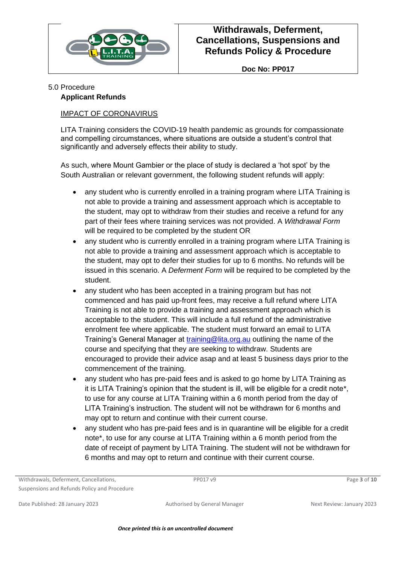

**Doc No: PP017**

### 5.0 Procedure

### **Applicant Refunds**

### IMPACT OF CORONAVIRUS

LITA Training considers the COVID-19 health pandemic as grounds for compassionate and compelling circumstances, where situations are outside a student's control that significantly and adversely effects their ability to study.

As such, where Mount Gambier or the place of study is declared a 'hot spot' by the South Australian or relevant government, the following student refunds will apply:

- any student who is currently enrolled in a training program where LITA Training is not able to provide a training and assessment approach which is acceptable to the student, may opt to withdraw from their studies and receive a refund for any part of their fees where training services was not provided. A *Withdrawal Form* will be required to be completed by the student OR
- any student who is currently enrolled in a training program where LITA Training is not able to provide a training and assessment approach which is acceptable to the student, may opt to defer their studies for up to 6 months. No refunds will be issued in this scenario. A *Deferment Form* will be required to be completed by the student.
- any student who has been accepted in a training program but has not commenced and has paid up-front fees, may receive a full refund where LITA Training is not able to provide a training and assessment approach which is acceptable to the student. This will include a full refund of the administrative enrolment fee where applicable. The student must forward an email to LITA Training's General Manager at [training@lita.org.au](mailto:training@lita.org.au) outlining the name of the course and specifying that they are seeking to withdraw. Students are encouraged to provide their advice asap and at least 5 business days prior to the commencement of the training.
- any student who has pre-paid fees and is asked to go home by LITA Training as it is LITA Training's opinion that the student is ill, will be eligible for a credit note\*, to use for any course at LITA Training within a 6 month period from the day of LITA Training's instruction. The student will not be withdrawn for 6 months and may opt to return and continue with their current course.
- any student who has pre-paid fees and is in quarantine will be eligible for a credit note\*, to use for any course at LITA Training within a 6 month period from the date of receipt of payment by LITA Training. The student will not be withdrawn for 6 months and may opt to return and continue with their current course.

Withdrawals, Deferment, Cancellations, Suspensions and Refunds Policy and Procedure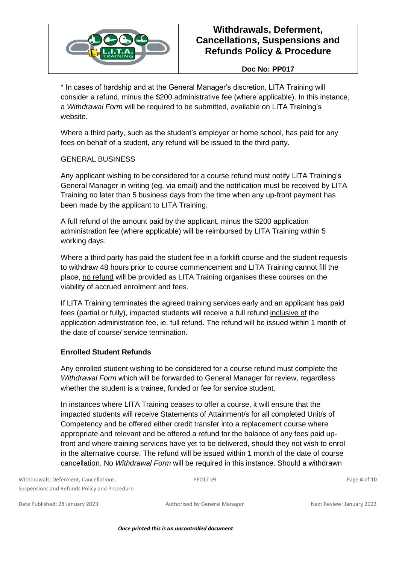

### **Doc No: PP017**

\* In cases of hardship and at the General Manager's discretion, LITA Training will consider a refund, minus the \$200 administrative fee (where applicable). In this instance, a *Withdrawal Form* will be required to be submitted, available on LITA Training's website.

Where a third party, such as the student's employer or home school, has paid for any fees on behalf of a student, any refund will be issued to the third party.

### GENERAL BUSINESS

Any applicant wishing to be considered for a course refund must notify LITA Training's General Manager in writing (eg. via email) and the notification must be received by LITA Training no later than 5 business days from the time when any up-front payment has been made by the applicant to LITA Training.

A full refund of the amount paid by the applicant, minus the \$200 application administration fee (where applicable) will be reimbursed by LITA Training within 5 working days.

Where a third party has paid the student fee in a forklift course and the student requests to withdraw 48 hours prior to course commencement and LITA Training cannot fill the place, no refund will be provided as LITA Training organises these courses on the viability of accrued enrolment and fees.

If LITA Training terminates the agreed training services early and an applicant has paid fees (partial or fully), impacted students will receive a full refund inclusive of the application administration fee, ie. full refund. The refund will be issued within 1 month of the date of course/ service termination.

#### **Enrolled Student Refunds**

Any enrolled student wishing to be considered for a course refund must complete the *Withdrawal Form* which will be forwarded to General Manager for review, regardless whether the student is a trainee, funded or fee for service student.

In instances where LITA Training ceases to offer a course, it will ensure that the impacted students will receive Statements of Attainment/s for all completed Unit/s of Competency and be offered either credit transfer into a replacement course where appropriate and relevant and be offered a refund for the balance of any fees paid upfront and where training services have yet to be delivered, should they not wish to enrol in the alternative course. The refund will be issued within 1 month of the date of course cancellation. No *Withdrawal Form* will be required in this instance. Should a withdrawn

Withdrawals, Deferment, Cancellations, Suspensions and Refunds Policy and Procedure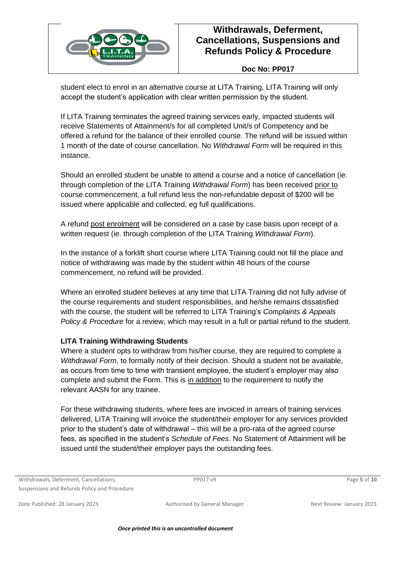

### **Doc No: PP017**

student elect to enrol in an alternative course at LITA Training, LITA Training will only accept the student's application with clear written permission by the student.

If LITA Training terminates the agreed training services early, impacted students will receive Statements of Attainment/s for all completed Unit/s of Competency and be offered a refund for the balance of their enrolled course. The refund will be issued within 1 month of the date of course cancellation. No *Withdrawal Form* will be required in this instance.

Should an enrolled student be unable to attend a course and a notice of cancellation (ie. through completion of the LITA Training *Withdrawal Form*) has been received prior to course commencement, a full refund less the non-refundable deposit of \$200 will be issued where applicable and collected, eg full qualifications.

A refund post enrolment will be considered on a case by case basis upon receipt of a written request (ie. through completion of the LITA Training *Withdrawal Form*).

In the instance of a forklift short course where LITA Training could not fill the place and notice of withdrawing was made by the student within 48 hours of the course commencement, no refund will be provided.

Where an enrolled student believes at any time that LITA Training did not fully advise of the course requirements and student responsibilities, and he/she remains dissatisfied with the course, the student will be referred to LITA Training's *Complaints & Appeals Policy & Procedure* for a review, which may result in a full or partial refund to the student.

### **LITA Training Withdrawing Students**

Where a student opts to withdraw from his/her course, they are required to complete a *Withdrawal Form*, to formally notify of their decision. Should a student not be available, as occurs from time to time with transient employee, the student's employer may also complete and submit the Form. This is in addition to the requirement to notify the relevant AASN for any trainee.

For these withdrawing students, where fees are invoiced in arrears of training services delivered, LITA Training will invoice the student/their employer for any services provided prior to the student's date of withdrawal – this will be a pro-rata of the agreed course fees, as specified in the student's *Schedule of Fees*. No Statement of Attainment will be issued until the student/their employer pays the outstanding fees.

Withdrawals, Deferment, Cancellations, Suspensions and Refunds Policy and Procedure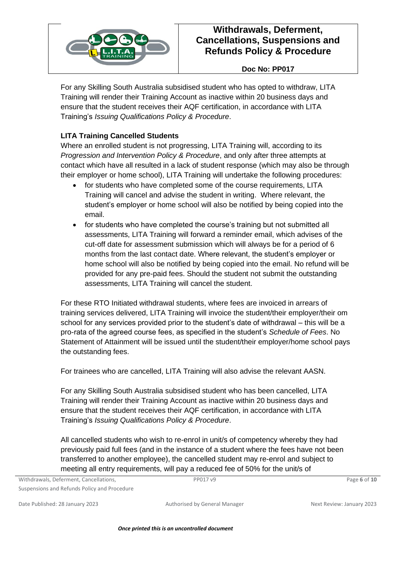

### **Doc No: PP017**

For any Skilling South Australia subsidised student who has opted to withdraw, LITA Training will render their Training Account as inactive within 20 business days and ensure that the student receives their AQF certification, in accordance with LITA Training's *Issuing Qualifications Policy & Procedure*.

## **LITA Training Cancelled Students**

Where an enrolled student is not progressing, LITA Training will, according to its *Progression and Intervention Policy & Procedure*, and only after three attempts at contact which have all resulted in a lack of student response (which may also be through their employer or home school), LITA Training will undertake the following procedures:

- for students who have completed some of the course requirements, LITA Training will cancel and advise the student in writing. Where relevant, the student's employer or home school will also be notified by being copied into the email.
- for students who have completed the course's training but not submitted all assessments, LITA Training will forward a reminder email, which advises of the cut-off date for assessment submission which will always be for a period of 6 months from the last contact date. Where relevant, the student's employer or home school will also be notified by being copied into the email. No refund will be provided for any pre-paid fees. Should the student not submit the outstanding assessments, LITA Training will cancel the student.

For these RTO Initiated withdrawal students, where fees are invoiced in arrears of training services delivered, LITA Training will invoice the student/their employer/their om school for any services provided prior to the student's date of withdrawal – this will be a pro-rata of the agreed course fees, as specified in the student's *Schedule of Fees*. No Statement of Attainment will be issued until the student/their employer/home school pays the outstanding fees.

For trainees who are cancelled, LITA Training will also advise the relevant AASN.

For any Skilling South Australia subsidised student who has been cancelled, LITA Training will render their Training Account as inactive within 20 business days and ensure that the student receives their AQF certification, in accordance with LITA Training's *Issuing Qualifications Policy & Procedure*.

All cancelled students who wish to re-enrol in unit/s of competency whereby they had previously paid full fees (and in the instance of a student where the fees have not been transferred to another employee), the cancelled student may re-enrol and subject to meeting all entry requirements, will pay a reduced fee of 50% for the unit/s of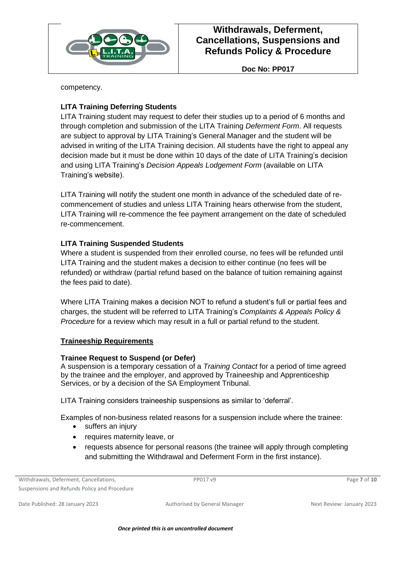

**Doc No: PP017**

competency.

## **LITA Training Deferring Students**

LITA Training student may request to defer their studies up to a period of 6 months and through completion and submission of the LITA Training *Deferment Form*. All requests are subject to approval by LITA Training's General Manager and the student will be advised in writing of the LITA Training decision. All students have the right to appeal any decision made but it must be done within 10 days of the date of LITA Training's decision and using LITA Training's *Decision Appeals Lodgement Form* (available on LITA Training's website).

LITA Training will notify the student one month in advance of the scheduled date of recommencement of studies and unless LITA Training hears otherwise from the student, LITA Training will re-commence the fee payment arrangement on the date of scheduled re-commencement.

### **LITA Training Suspended Students**

Where a student is suspended from their enrolled course, no fees will be refunded until LITA Training and the student makes a decision to either continue (no fees will be refunded) or withdraw (partial refund based on the balance of tuition remaining against the fees paid to date).

Where LITA Training makes a decision NOT to refund a student's full or partial fees and charges, the student will be referred to LITA Training's *Complaints & Appeals Policy & Procedure* for a review which may result in a full or partial refund to the student.

### **Traineeship Requirements**

#### **Trainee Request to Suspend (or Defer)**

A suspension is a temporary cessation of a *Training Contact* for a period of time agreed by the trainee and the employer, and approved by Traineeship and Apprenticeship Services, or by a decision of the SA Employment Tribunal.

LITA Training considers traineeship suspensions as similar to 'deferral'.

Examples of non-business related reasons for a suspension include where the trainee:

- suffers an injury
- requires maternity leave, or
- requests absence for personal reasons (the trainee will apply through completing and submitting the Withdrawal and Deferment Form in the first instance).

Withdrawals, Deferment, Cancellations,

Suspensions and Refunds Policy and Procedure

PP017 v9 Page **7** of **10**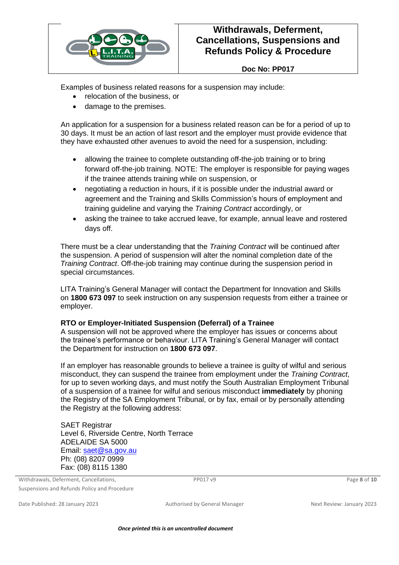

#### **Doc No: PP017**

Examples of business related reasons for a suspension may include:

- relocation of the business, or
- damage to the premises.

An application for a suspension for a business related reason can be for a period of up to 30 days. It must be an action of last resort and the employer must provide evidence that they have exhausted other avenues to avoid the need for a suspension, including:

- allowing the trainee to complete outstanding off-the-job training or to bring forward off-the-job training. NOTE: The employer is responsible for paying wages if the trainee attends training while on suspension, or
- negotiating a reduction in hours, if it is possible under the industrial award or agreement and the Training and Skills Commission's hours of employment and training guideline and varying the *Training Contract* accordingly, or
- asking the trainee to take accrued leave, for example, annual leave and rostered days off.

There must be a clear understanding that the *Training Contract* will be continued after the suspension. A period of suspension will alter the nominal completion date of the *Training Contract*. Off-the-job training may continue during the suspension period in special circumstances.

LITA Training's General Manager will contact the Department for Innovation and Skills on **1800 673 097** to seek instruction on any suspension requests from either a trainee or employer.

#### **RTO or Employer-Initiated Suspension (Deferral) of a Trainee**

A suspension will not be approved where the employer has issues or concerns about the trainee's performance or behaviour. LITA Training's General Manager will contact the Department for instruction on **1800 673 097**.

If an employer has reasonable grounds to believe a trainee is guilty of wilful and serious misconduct, they can suspend the trainee from employment under the *Training Contract*, for up to seven working days, and must notify the South Australian Employment Tribunal of a suspension of a trainee for wilful and serious misconduct **immediately** by phoning the Registry of the SA Employment Tribunal, or by fax, email or by personally attending the Registry at the following address:

SAET Registrar Level 6, Riverside Centre, North Terrace ADELAIDE SA 5000 Email: [saet@sa.gov.au](mailto:saet@sa.gov.au) Ph: (08) 8207 0999 Fax: (08) 8115 1380

Withdrawals, Deferment, Cancellations, Suspensions and Refunds Policy and Procedure

PP017 v9 Page **8** of **10**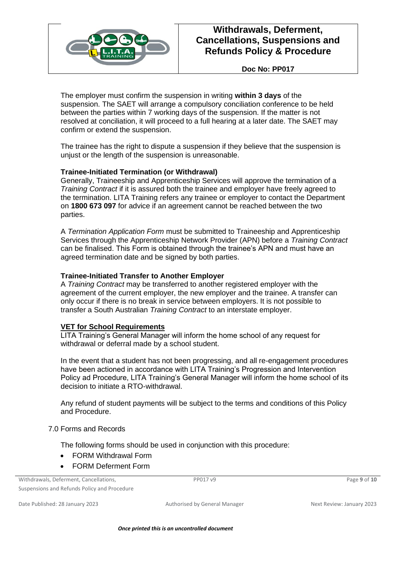

**Doc No: PP017**

The employer must confirm the suspension in writing **within 3 days** of the suspension. The SAET will arrange a compulsory conciliation conference to be held between the parties within 7 working days of the suspension. If the matter is not resolved at conciliation, it will proceed to a full hearing at a later date. The SAET may confirm or extend the suspension.

The trainee has the right to dispute a suspension if they believe that the suspension is unjust or the length of the suspension is unreasonable.

#### **Trainee-Initiated Termination (or Withdrawal)**

Generally, Traineeship and Apprenticeship Services will approve the termination of a *Training Contract* if it is assured both the trainee and employer have freely agreed to the termination. LITA Training refers any trainee or employer to contact the Department on **1800 673 097** for advice if an agreement cannot be reached between the two parties.

A *Termination Application Form* must be submitted to Traineeship and Apprenticeship Services through the Apprenticeship Network Provider (APN) before a *Training Contract* can be finalised. This Form is obtained through the trainee's APN and must have an agreed termination date and be signed by both parties.

#### **Trainee-Initiated Transfer to Another Employer**

A *Training Contract* may be transferred to another registered employer with the agreement of the current employer, the new employer and the trainee. A transfer can only occur if there is no break in service between employers. It is not possible to transfer a South Australian *Training Contract* to an interstate employer.

#### **VET for School Requirements**

LITA Training's General Manager will inform the home school of any request for withdrawal or deferral made by a school student.

In the event that a student has not been progressing, and all re-engagement procedures have been actioned in accordance with LITA Training's Progression and Intervention Policy ad Procedure, LITA Training's General Manager will inform the home school of its decision to initiate a RTO-withdrawal.

Any refund of student payments will be subject to the terms and conditions of this Policy and Procedure.

#### 7.0 Forms and Records

The following forms should be used in conjunction with this procedure:

- FORM Withdrawal Form
- FORM Deferment Form

Withdrawals, Deferment, Cancellations,

Suspensions and Refunds Policy and Procedure

PP017 v9 Page **9** of **10**